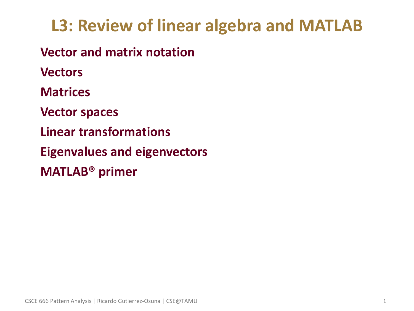# **L3: Review of linear algebra and MATLAB**

• **Vector and matrix notation**

• **Vectors**

• **Matrices**

• **Vector spaces**

• **Linear transformations**

• **Eigenvalues and eigenvectors**

• **MATLAB® primer**

CSCE 666 Pattern Analysis | Ricardo Gutierrez-Osuna | CSE@TAMU 1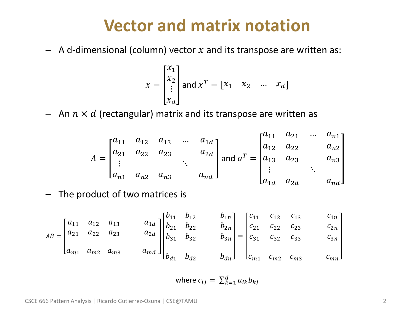### **Vector and matrix notation**

– A d-dimensional (column) vector  $x$  and its transpose are written as:

$$
x = \begin{bmatrix} x_1 \\ x_2 \\ \vdots \\ x_d \end{bmatrix} \text{ and } x^T = \begin{bmatrix} x_1 & x_2 & \dots & x_d \end{bmatrix}
$$

– An  $n \times d$  (rectangular) matrix and its transpose are written as

$$
A = \begin{bmatrix} a_{11} & a_{12} & a_{13} & \dots & a_{1d} \\ a_{21} & a_{22} & a_{23} & & a_{2d} \\ \vdots & & \ddots & & \\ a_{n1} & a_{n2} & a_{n3} & & a_{n4} \end{bmatrix} \text{ and } a^{T} = \begin{bmatrix} a_{11} & a_{21} & \dots & a_{n1} \\ a_{12} & a_{22} & & a_{n2} \\ a_{13} & a_{23} & & a_{n3} \\ \vdots & & \ddots & \\ a_{1d} & a_{2d} & & a_{nd} \end{bmatrix}
$$

– The product of two matrices is

$$
AB = \begin{bmatrix} a_{11} & a_{12} & a_{13} & a_{1d} \\ a_{21} & a_{22} & a_{23} & a_{2d} \\ a_{m1} & a_{m2} & a_{m3} & a_{m4} \end{bmatrix} \begin{bmatrix} b_{11} & b_{12} & b_{1n} \\ b_{21} & b_{22} & b_{2n} \\ b_{31} & b_{32} & b_{3n} \\ b_{41} & b_{42} & b_{4n} \end{bmatrix} = \begin{bmatrix} c_{11} & c_{12} & c_{13} & c_{1n} \\ c_{21} & c_{22} & c_{23} & c_{2n} \\ c_{31} & c_{32} & c_{33} & c_{3n} \\ c_{m1} & c_{m2} & c_{m3} & c_{mn} \end{bmatrix}
$$

where 
$$
c_{ij} = \sum_{k=1}^{d} a_{ik} b_{kj}
$$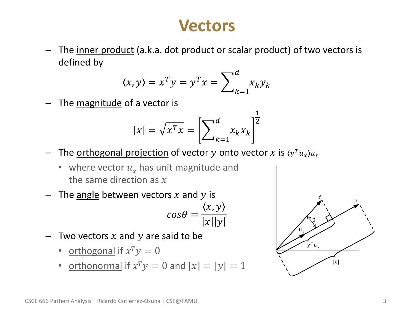### **Vectors**

The inner product (a.k.a. dot product or scalar product) of two vectors is defined by

$$
\langle x, y \rangle = x^T y = y^T x = \sum_{k=1}^d x_k y_k
$$

The magnitude of a vector is

$$
|x| = \sqrt{x^T x} = \left[\sum_{k=1}^d x_k x_k\right]^{\frac{1}{2}}
$$

- $-$  The <u>orthogonal projection</u> of vector  $y$  onto vector  $x$  is  $\langle y^T u_x \rangle u_x$ 
	- where vector  $u<sub>x</sub>$  has unit magnitude and the same direction as  $x$
- The <u>angle</u> between vectors  $x$  and  $y$  is  $x, y$

$$
cos\theta = \frac{\langle x, y \rangle}{|x||y|}
$$

- Two vectors  $x$  and  $y$  are said to be
	- orthogonal if  $x^T y = 0$
	- orthonormal if  $x^T y = 0$  and  $|x| = |y| = 1$

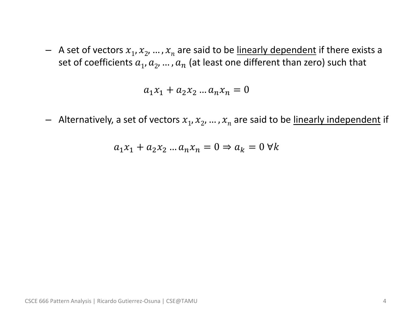$-$  A set of vectors  $x_1, x_2, ..., x_n$  are said to be <u>linearly dependent</u> if there exists a set of coefficients  $a_1, a_2, ..., a_n$  (at least one different than zero) such that

$$
a_1 x_1 + a_2 x_2 \dots a_n x_n = 0
$$

 $-$  Alternatively, a set of vectors  $x_1, x_2, ..., x_n$  are said to be <u>linearly independent</u> if

$$
a_1x_1 + a_2x_2 \dots a_nx_n = 0 \Rightarrow a_k = 0 \,\forall k
$$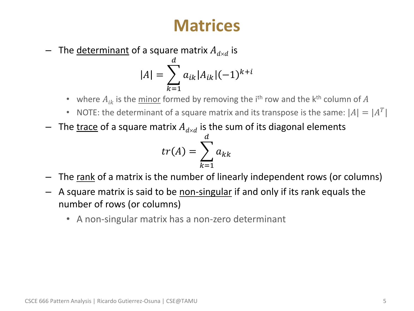### **Matrices**

 $-$  The <u>determinant</u> of a square matrix  $A_{d\times d}$  is  $\boldsymbol{d}$ 

$$
|A| = \sum_{k=1} a_{ik} |A_{ik}| (-1)^{k+i}
$$

- where  $A_{ik}$  is the minor formed by removing the i<sup>th</sup> row and the k<sup>th</sup> column of  $A$
- NOTE: the determinant of a square matrix and its transpose is the same:  $|A| = |A^T|$
- $-$  The <u>trace</u> of a square matrix  $A_{d\times d}$  is the sum of its diagonal elements

$$
tr(A) = \sum_{k=1}^{d} a_{kk}
$$

- The rank of a matrix is the number of linearly independent rows (or columns)
- A square matrix is said to be <u>non-singular</u> if and only if its rank equals the number of rows (or columns)
	- A non-singular matrix has a non-zero determinant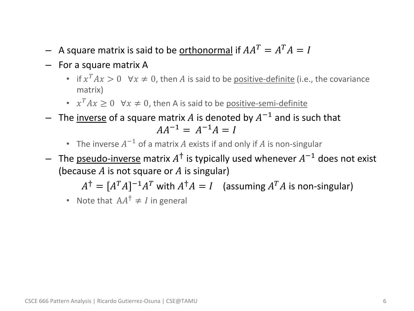- $-$  A square matrix is said to be <u>orthonormal</u> if  $AA^T = A^T A = I$
- For a square matrix A
	- if  $x^T Ax > 0$   $\forall x \neq 0$ , then A is said to be <u>positive-definite</u> (i.e., the covariance matrix)
	- $x^T A x \ge 0$   $\forall x \ne 0$ , then A is said to be <u>positive-semi-definite</u>
- $-$  The <u>inverse</u> of a square matrix A is denoted by  $A^{-1}$  and is such that  $AA^{-1} = A^{-1}A = I$ 
	- The inverse  $A^{-1}$  of a matrix  $A$  exists if and only if  $A$  is non-singular
- $-$  The <u>pseudo-inverse</u> matrix  $A^{\dagger}$  is typically used whenever  $A^{-1}$  does not exist (because  $A$  is not square or  $A$  is singular)

$$
A^{\dagger} = [A^T A]^{-1} A^T \text{ with } A^{\dagger} A = I \quad \text{(assuming } A^T A \text{ is non-singular)}
$$

• Note that  $AA^{\dagger} \neq I$  in general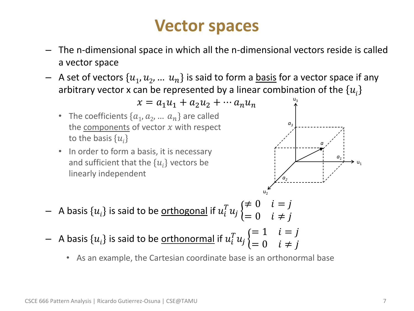### **Vector spaces**

- The n-dimensional space in which all the n-dimensional vectors reside is called a vector space
- $-$  A set of vectors  $\{u_1, u_2, ... u_n\}$  is said to form a <u>basis</u> for a vector space if any arbitrary vector x can be represented by a linear combination of the  $\{u_i\}$



• As an example, the Cartesian coordinate base is an orthonormal base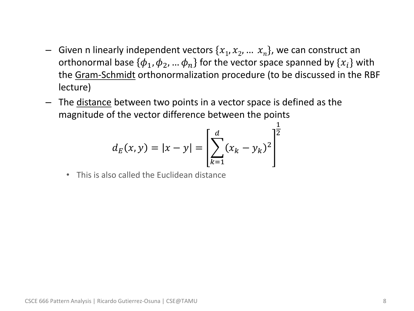- $-$  Given n linearly independent vectors  $\{x_1, x_2, ... x_n\}$ , we can construct an orthonormal base  $\{\boldsymbol{\phi}_1,\boldsymbol{\phi}_2, ... \, \boldsymbol{\phi}_n\}$  for the vector space spanned by  $\{x_i\}$  with the Gram-Schmidt orthonormalization procedure (to be discussed in the RBF lecture)
- The distance between two points in a vector space is defined as the magnitude of the vector difference between the points

$$
d_E(x, y) = |x - y| = \left[\sum_{k=1}^d (x_k - y_k)^2\right]^{\frac{1}{2}}
$$

• This is also called the Euclidean distance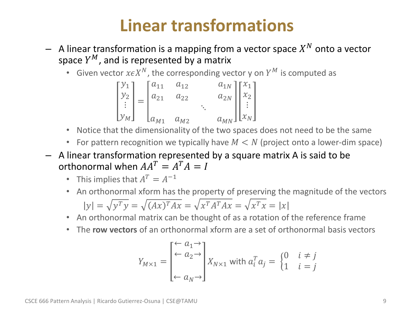# **Linear transformations**

- $-$  A linear transformation is a mapping from a vector space  $X^N$  onto a vector space  $Y^M$ , and is represented by a matrix
	- Given vector  $x \in X^N$ , the corresponding vector y on  $Y^M$  is computed as

$$
\begin{bmatrix} y_1 \\ y_2 \\ \vdots \\ y_M \end{bmatrix} = \begin{bmatrix} a_{11} & a_{12} & a_{1N} \\ a_{21} & a_{22} & a_{2N} \\ \vdots & \vdots & \ddots & \vdots \\ a_{M1} & a_{M2} & a_{MN} \end{bmatrix} \begin{bmatrix} x_1 \\ x_2 \\ \vdots \\ x_N \end{bmatrix}
$$

- Notice that the dimensionality of the two spaces does not need to be the same
- For pattern recognition we typically have  $M < N$  (project onto a lower-dim space)
- A linear transformation represented by a square matrix A is said to be orthonormal when  $AA^T = A^T A = I$ 
	- This implies that  $A^T = A^{-1}$
	- An orthonormal xform has the property of preserving the magnitude of the vectors

$$
|y| = \sqrt{y^T y} = \sqrt{(Ax)^T A x} = \sqrt{x^T A^T A x} = \sqrt{x^T x} = |x|
$$

- An orthonormal matrix can be thought of as a rotation of the reference frame
- The **row vectors** of an orthonormal xform are a set of orthonormal basis vectors

$$
Y_{M \times 1} = \begin{bmatrix} \leftarrow a_1 \rightarrow \\ \leftarrow a_2 \rightarrow \\ \leftarrow a_N \rightarrow \end{bmatrix} X_{N \times 1} \text{ with } a_i^T a_j = \begin{cases} 0 & i \neq j \\ 1 & i = j \end{cases}
$$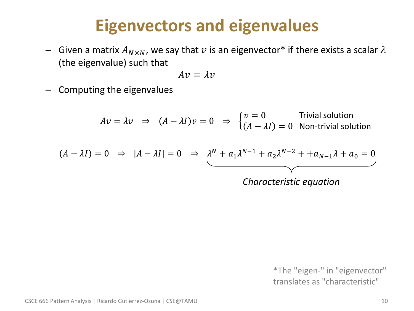### **Eigenvectors and eigenvalues**

– Given a matrix  $A_{N\times N}$ , we say that v is an eigenvector\* if there exists a scalar  $\lambda$ (the eigenvalue) such that

$$
Av=\lambda v
$$

– Computing the eigenvalues

$$
Av = \lambda v \Rightarrow (A - \lambda I)v = 0 \Rightarrow \begin{cases} v = 0 & \text{Trivial solution} \\ (A - \lambda I) = 0 & \text{Non-trivial solution} \end{cases}
$$
  

$$
A - \lambda I) = 0 \Rightarrow |A - \lambda I| = 0 \Rightarrow \lambda^N + a_1 \lambda^{N-1} + a_2 \lambda^{N-2} + a_{N-1} \lambda + a_0 = 0
$$
  
Characteristic equation

\*The "eigen-" in "eigenvector" translates as "characteristic"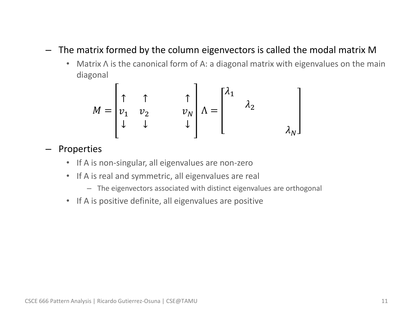### – The matrix formed by the column eigenvectors is called the modal matrix M

• Matrix Λ is the canonical form of A: a diagonal matrix with eigenvalues on the main diagonal

$$
M = \begin{bmatrix} \uparrow & \uparrow & & \uparrow \\ v_1 & v_2 & & v_N \\ \downarrow & \downarrow & & \downarrow \end{bmatrix} \Lambda = \begin{bmatrix} \lambda_1 & & & \\ & \lambda_2 & & \\ & & \lambda_N \end{bmatrix}
$$

- Properties
	- If A is non-singular, all eigenvalues are non-zero
	- If A is real and symmetric, all eigenvalues are real
		- The eigenvectors associated with distinct eigenvalues are orthogonal
	- If A is positive definite, all eigenvalues are positive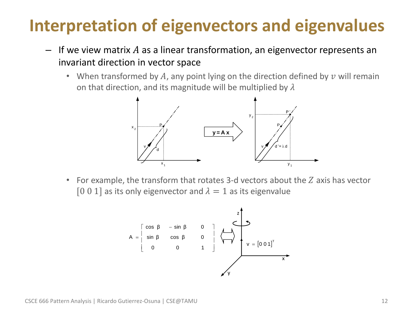# **Interpretation of eigenvectors and eigenvalues**

- $-$  If we view matrix A as a linear transformation, an eigenvector represents an invariant direction in vector space
	- When transformed by  $A$ , any point lying on the direction defined by  $v$  will remain on that direction, and its magnitude will be multiplied by  $\lambda$



For example, the transform that rotates 3-d vectors about the  $Z$  axis has vector [0 0 1] as its only eigenvector and  $\lambda = 1$  as its eigenvalue

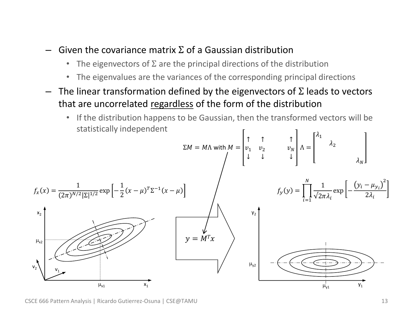- $-$  Given the covariance matrix  $\Sigma$  of a Gaussian distribution
	- The eigenvectors of  $\Sigma$  are the principal directions of the distribution
	- The eigenvalues are the variances of the corresponding principal directions
- $-$  The linear transformation defined by the eigenvectors of Σ leads to vectors that are uncorrelated regardless of the form of the distribution
	- If the distribution happens to be Gaussian, then the transformed vectors will be statistically independent

Statsitically independent

\n
$$
\Sigma M = M\Lambda \text{ with } M = \begin{bmatrix} \uparrow & \uparrow & \uparrow \\ v_1 & v_2 & v_N \\ \downarrow & \downarrow & \downarrow \end{bmatrix} \Lambda = \begin{bmatrix} \lambda_1 & \uparrow & \uparrow \\ \lambda_2 & \downarrow & \downarrow \\ \lambda_3 & \lambda_4 \end{bmatrix}
$$
\n
$$
f_x(x) = \frac{1}{(2\pi)^{N/2} |\Sigma|^{1/2}} \exp\left[-\frac{1}{2}(x - \mu)^T \Sigma^{-1}(x - \mu)\right]
$$
\n
$$
f_y(y) = \prod_{i=1}^N \frac{1}{\sqrt{2\pi\lambda_i}} \exp\left[-\frac{(y_i - \mu_{y_i})^2}{2\lambda_i}\right]
$$
\n
$$
v_2
$$
\n
$$
v_3
$$
\n
$$
v_4
$$
\n
$$
v_5
$$
\n
$$
v_6
$$
\n
$$
v_7
$$
\n
$$
v_8
$$
\n
$$
v_9
$$
\n
$$
v_1
$$
\n
$$
v_2
$$
\n
$$
v_3
$$
\n
$$
v_4
$$
\n
$$
v_5
$$
\n
$$
v_6
$$
\n
$$
v_7
$$
\n
$$
v_8
$$
\n
$$
v_9
$$
\n
$$
v_9
$$
\n
$$
v_1
$$
\n
$$
v_2
$$
\n
$$
v_3
$$
\n
$$
v_4
$$
\n
$$
v_5
$$
\n
$$
v_6
$$
\n
$$
v_7
$$
\n
$$
v_8
$$
\n
$$
v_9
$$
\n
$$
v_9
$$
\n
$$
v_1
$$
\n
$$
v_2
$$
\n
$$
v_3
$$
\n
$$
v_4
$$
\n
$$
v_5
$$
\n
$$
v_7
$$
\n
$$
v_8
$$
\n
$$
v_9
$$
\n
$$
v_9
$$
\n
$$
v_1
$$
\n
$$
v_1
$$

CSCE 666 Pattern Analysis | Ricardo Gutierrez-Osuna | CSE@TAMU 13